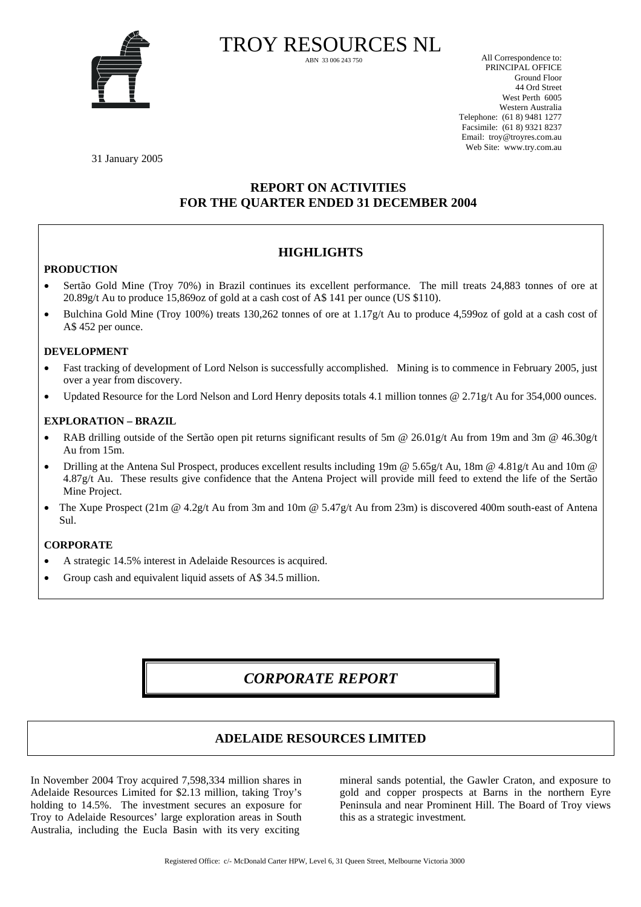

TROY RESOURCES NL

All Correspondence to: PRINCIPAL OFFICE Ground Floor 44 Ord Street West Perth 6005 Western Australia Telephone: (61 8) 9481 1277 Facsimile: (61 8) 9321 8237 Email: troy@troyres.com.au Web Site: www.try.com.au

31 January 2005

## **REPORT ON ACTIVITIES FOR THE QUARTER ENDED 31 DECEMBER 2004**

# **HIGHLIGHTS**

## **PRODUCTION**

- Sertão Gold Mine (Troy 70%) in Brazil continues its excellent performance. The mill treats 24,883 tonnes of ore at 20.89g/t Au to produce 15,869oz of gold at a cash cost of A\$ 141 per ounce (US \$110).
- Bulchina Gold Mine (Troy 100%) treats 130,262 tonnes of ore at 1.17g/t Au to produce 4,599oz of gold at a cash cost of A\$ 452 per ounce.

## **DEVELOPMENT**

- Fast tracking of development of Lord Nelson is successfully accomplished. Mining is to commence in February 2005, just over a year from discovery.
- Updated Resource for the Lord Nelson and Lord Henry deposits totals 4.1 million tonnes @ 2.71g/t Au for 354,000 ounces.

## **EXPLORATION – BRAZIL**

- RAB drilling outside of the Sertão open pit returns significant results of 5m @ 26.01g/t Au from 19m and 3m @ 46.30g/t Au from 15m.
- Drilling at the Antena Sul Prospect, produces excellent results including 19m @ 5.65g/t Au, 18m @ 4.81g/t Au and 10m @ 4.87g/t Au. These results give confidence that the Antena Project will provide mill feed to extend the life of the Sertão Mine Project.
- The Xupe Prospect (21m @ 4.2g/t Au from 3m and 10m @ 5.47g/t Au from 23m) is discovered 400m south-east of Antena Sul.

## **CORPORATE**

- A strategic 14.5% interest in Adelaide Resources is acquired.
- Group cash and equivalent liquid assets of A\$ 34.5 million.

# *CORPORATE REPORT*

## **ADELAIDE RESOURCES LIMITED**

In November 2004 Troy acquired 7,598,334 million shares in Adelaide Resources Limited for \$2.13 million, taking Troy's holding to 14.5%. The investment secures an exposure for Troy to Adelaide Resources' large exploration areas in South Australia, including the Eucla Basin with its very exciting

mineral sands potential, the Gawler Craton, and exposure to gold and copper prospects at Barns in the northern Eyre Peninsula and near Prominent Hill. The Board of Troy views this as a strategic investment*.*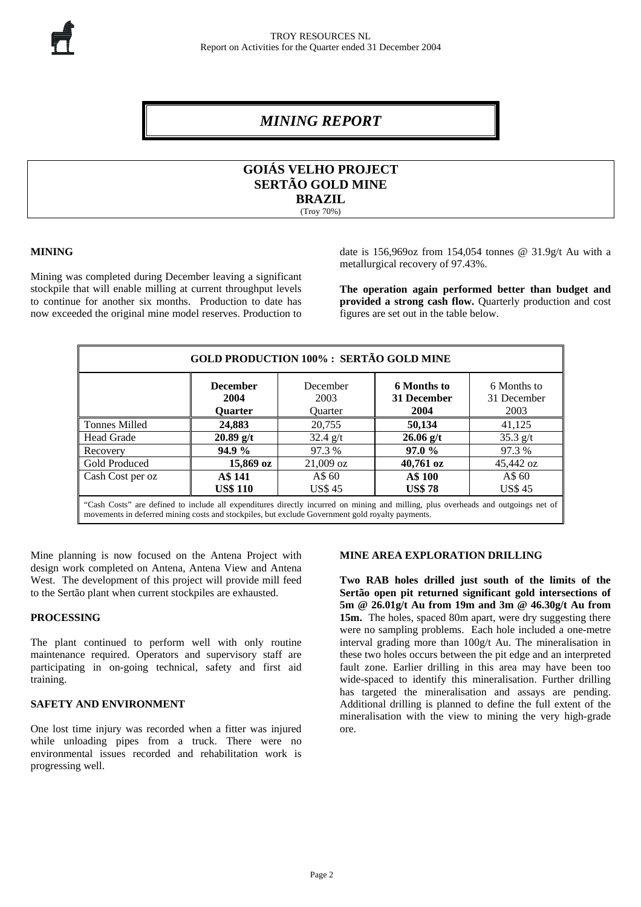# *MINING REPORT*

## **GOIÁS VELHO PROJECT SERTÃO GOLD MINE BRAZIL**  (Troy 70%)

## **MINING**

Mining was completed during December leaving a significant stockpile that will enable milling at current throughput levels to continue for another six months. Production to date has now exceeded the original mine model reserves. Production to

date is 156,969oz from 154,054 tonnes @ 31.9g/t Au with a metallurgical recovery of 97.43%.

**The operation again performed better than budget and provided a strong cash flow.** Quarterly production and cost figures are set out in the table below.

| <b>GOLD PRODUCTION 100% : SERTÃO GOLD MINE</b>                                                                                                                                                                                        |                                           |                                    |                                    |                                    |  |  |
|---------------------------------------------------------------------------------------------------------------------------------------------------------------------------------------------------------------------------------------|-------------------------------------------|------------------------------------|------------------------------------|------------------------------------|--|--|
|                                                                                                                                                                                                                                       | <b>December</b><br>2004<br><b>Ouarter</b> | December<br>2003<br><b>Ouarter</b> | 6 Months to<br>31 December<br>2004 | 6 Months to<br>31 December<br>2003 |  |  |
| <b>Tonnes Milled</b>                                                                                                                                                                                                                  | 24,883                                    | 20.755                             | 50,134                             | 41,125                             |  |  |
| <b>Head Grade</b>                                                                                                                                                                                                                     | $20.89$ g/t                               | $32.4$ g/t                         | $26.06$ g/t                        | $35.3$ g/t                         |  |  |
| Recovery                                                                                                                                                                                                                              | 94.9%                                     | 97.3 %                             | 97.0 %                             | 97.3 %                             |  |  |
| Gold Produced                                                                                                                                                                                                                         | $15,869$ oz                               | $21,009$ oz                        | $40,761$ oz                        | 45,442 oz                          |  |  |
| Cash Cost per oz                                                                                                                                                                                                                      | A\$ 141                                   | A\$ 60                             | A\$ 100                            | A\$ 60                             |  |  |
|                                                                                                                                                                                                                                       | <b>US\$ 110</b>                           | <b>US\$45</b>                      | <b>US\$78</b>                      | <b>US\$45</b>                      |  |  |
| "Cash Costs" are defined to include all expenditures directly incurred on mining and milling, plus overheads and outgoings net of<br>movements in deferred mining costs and stockpiles, but exclude Government gold royalty payments. |                                           |                                    |                                    |                                    |  |  |

Mine planning is now focused on the Antena Project with design work completed on Antena, Antena View and Antena West. The development of this project will provide mill feed to the Sertão plant when current stockpiles are exhausted.

### **PROCESSING**

The plant continued to perform well with only routine maintenance required. Operators and supervisory staff are participating in on-going technical, safety and first aid training.

## **SAFETY AND ENVIRONMENT**

One lost time injury was recorded when a fitter was injured while unloading pipes from a truck. There were no environmental issues recorded and rehabilitation work is progressing well.

#### **MINE AREA EXPLORATION DRILLING**

**Two RAB holes drilled just south of the limits of the Sertão open pit returned significant gold intersections of 5m @ 26.01g/t Au from 19m and 3m @ 46.30g/t Au from**  15m. The holes, spaced 80m apart, were dry suggesting there were no sampling problems. Each hole included a one-metre interval grading more than 100g/t Au. The mineralisation in these two holes occurs between the pit edge and an interpreted fault zone. Earlier drilling in this area may have been too wide-spaced to identify this mineralisation. Further drilling has targeted the mineralisation and assays are pending. Additional drilling is planned to define the full extent of the mineralisation with the view to mining the very high-grade ore.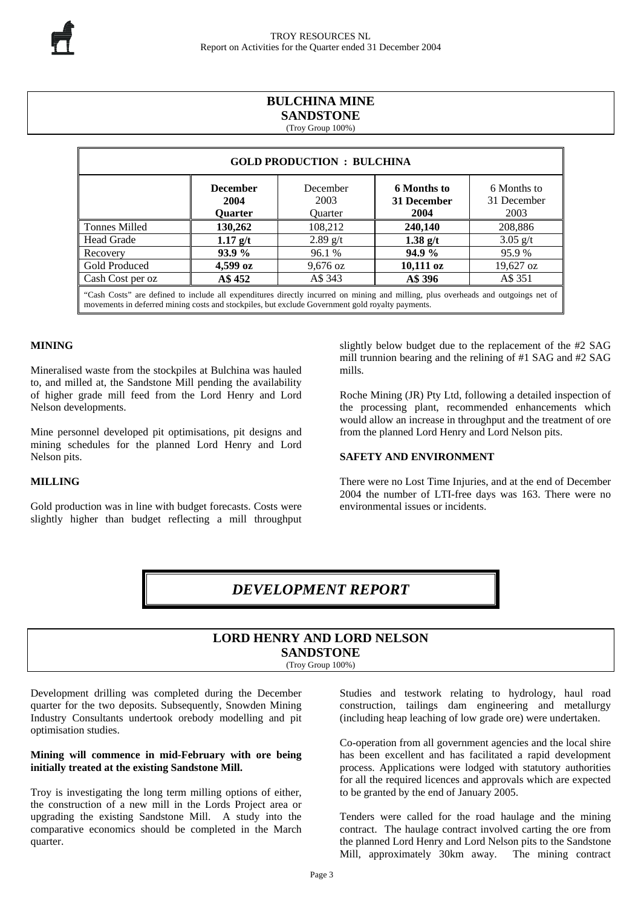## **BULCHINA MINE SANDSTONE**

(Troy Group 100%)

| <b>GOLD PRODUCTION : BULCHINA</b>                                                                                                                                                                                                     |                                           |                             |                                    |                                    |  |  |  |
|---------------------------------------------------------------------------------------------------------------------------------------------------------------------------------------------------------------------------------------|-------------------------------------------|-----------------------------|------------------------------------|------------------------------------|--|--|--|
|                                                                                                                                                                                                                                       | <b>December</b><br>2004<br><b>Ouarter</b> | December<br>2003<br>Ouarter | 6 Months to<br>31 December<br>2004 | 6 Months to<br>31 December<br>2003 |  |  |  |
| <b>Tonnes Milled</b>                                                                                                                                                                                                                  | 130,262                                   | 108.212                     | 240,140                            | 208,886                            |  |  |  |
| <b>Head Grade</b>                                                                                                                                                                                                                     | $1.17$ g/t                                | $2.89$ g/t                  | 1.38 $g/t$                         | $3.05$ g/t                         |  |  |  |
| Recovery                                                                                                                                                                                                                              | <b>93.9 %</b>                             | 96.1 %                      | 94.9%                              | 95.9%                              |  |  |  |
| Gold Produced                                                                                                                                                                                                                         | $4,599 \text{ oz}$                        | $9,676$ oz                  | $10,111$ oz                        | 19,627 oz                          |  |  |  |
| Cash Cost per oz                                                                                                                                                                                                                      | A\$ 452                                   | A\$ 343                     | A\$ 396                            | A\$ 351                            |  |  |  |
| "Cash Costs" are defined to include all expenditures directly incurred on mining and milling, plus overheads and outgoings net of<br>movements in deferred mining costs and stockpiles, but exclude Government gold royalty payments. |                                           |                             |                                    |                                    |  |  |  |

## **MINING**

Mineralised waste from the stockpiles at Bulchina was hauled to, and milled at, the Sandstone Mill pending the availability of higher grade mill feed from the Lord Henry and Lord Nelson developments.

Mine personnel developed pit optimisations, pit designs and mining schedules for the planned Lord Henry and Lord Nelson pits.

## **MILLING**

Gold production was in line with budget forecasts. Costs were slightly higher than budget reflecting a mill throughput

slightly below budget due to the replacement of the #2 SAG mill trunnion bearing and the relining of #1 SAG and #2 SAG mills.

Roche Mining (JR) Pty Ltd, following a detailed inspection of the processing plant, recommended enhancements which would allow an increase in throughput and the treatment of ore from the planned Lord Henry and Lord Nelson pits.

### **SAFETY AND ENVIRONMENT**

There were no Lost Time Injuries, and at the end of December 2004 the number of LTI-free days was 163. There were no environmental issues or incidents.

# *DEVELOPMENT REPORT*

# **LORD HENRY AND LORD NELSON SANDSTONE**

(Troy Group 100%)

Development drilling was completed during the December quarter for the two deposits. Subsequently, Snowden Mining Industry Consultants undertook orebody modelling and pit optimisation studies.

## **Mining will commence in mid-February with ore being initially treated at the existing Sandstone Mill.**

Troy is investigating the long term milling options of either, the construction of a new mill in the Lords Project area or upgrading the existing Sandstone Mill. A study into the comparative economics should be completed in the March quarter.

Studies and testwork relating to hydrology, haul road construction, tailings dam engineering and metallurgy (including heap leaching of low grade ore) were undertaken.

Co-operation from all government agencies and the local shire has been excellent and has facilitated a rapid development process. Applications were lodged with statutory authorities for all the required licences and approvals which are expected to be granted by the end of January 2005.

Tenders were called for the road haulage and the mining contract. The haulage contract involved carting the ore from the planned Lord Henry and Lord Nelson pits to the Sandstone Mill, approximately 30km away. The mining contract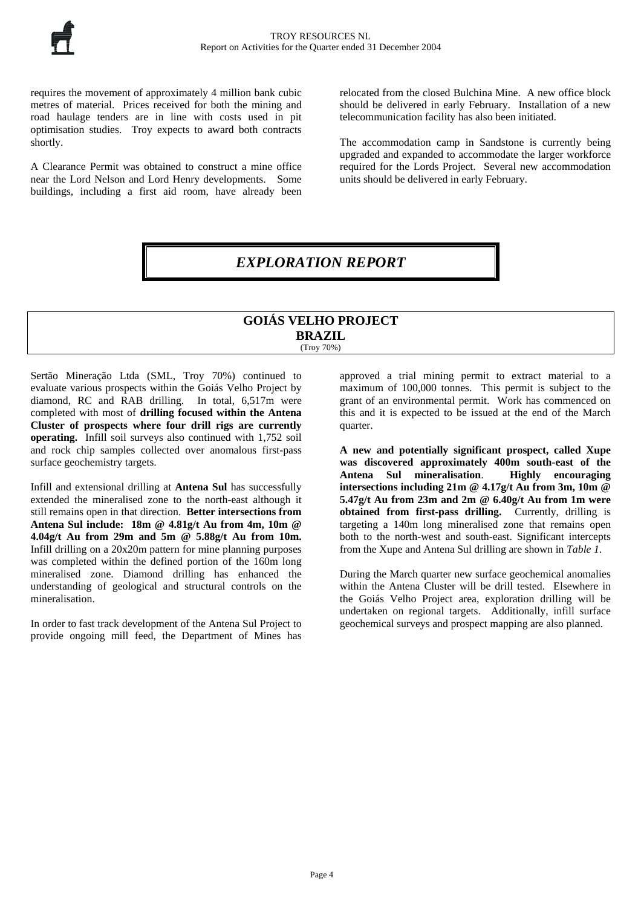requires the movement of approximately 4 million bank cubic metres of material. Prices received for both the mining and road haulage tenders are in line with costs used in pit optimisation studies. Troy expects to award both contracts shortly.

A Clearance Permit was obtained to construct a mine office near the Lord Nelson and Lord Henry developments. Some buildings, including a first aid room, have already been

relocated from the closed Bulchina Mine. A new office block should be delivered in early February. Installation of a new telecommunication facility has also been initiated.

The accommodation camp in Sandstone is currently being upgraded and expanded to accommodate the larger workforce required for the Lords Project. Several new accommodation units should be delivered in early February.

*EXPLORATION REPORT* 

## **GOIÁS VELHO PROJECT BRAZIL**  (Troy 70%)

Sertão Mineração Ltda (SML, Troy 70%) continued to evaluate various prospects within the Goiás Velho Project by diamond, RC and RAB drilling. In total, 6,517m were completed with most of **drilling focused within the Antena Cluster of prospects where four drill rigs are currently operating.** Infill soil surveys also continued with 1,752 soil and rock chip samples collected over anomalous first-pass surface geochemistry targets.

Infill and extensional drilling at **Antena Sul** has successfully extended the mineralised zone to the north-east although it still remains open in that direction. **Better intersections from Antena Sul include: 18m @ 4.81g/t Au from 4m, 10m @ 4.04g/t Au from 29m and 5m @ 5.88g/t Au from 10m.** Infill drilling on a 20x20m pattern for mine planning purposes was completed within the defined portion of the 160m long mineralised zone. Diamond drilling has enhanced the understanding of geological and structural controls on the mineralisation.

In order to fast track development of the Antena Sul Project to provide ongoing mill feed, the Department of Mines has approved a trial mining permit to extract material to a maximum of 100,000 tonnes. This permit is subject to the grant of an environmental permit. Work has commenced on this and it is expected to be issued at the end of the March quarter.

**A new and potentially significant prospect, called Xupe was discovered approximately 400m south-east of the Antena Sul mineralisation**. **Highly encouraging intersections including 21m @ 4.17g/t Au from 3m, 10m @ 5.47g/t Au from 23m and 2m @ 6.40g/t Au from 1m were obtained from first-pass drilling.** Currently, drilling is targeting a 140m long mineralised zone that remains open both to the north-west and south-east. Significant intercepts from the Xupe and Antena Sul drilling are shown in *Table 1*.

During the March quarter new surface geochemical anomalies within the Antena Cluster will be drill tested. Elsewhere in the Goiás Velho Project area, exploration drilling will be undertaken on regional targets. Additionally, infill surface geochemical surveys and prospect mapping are also planned.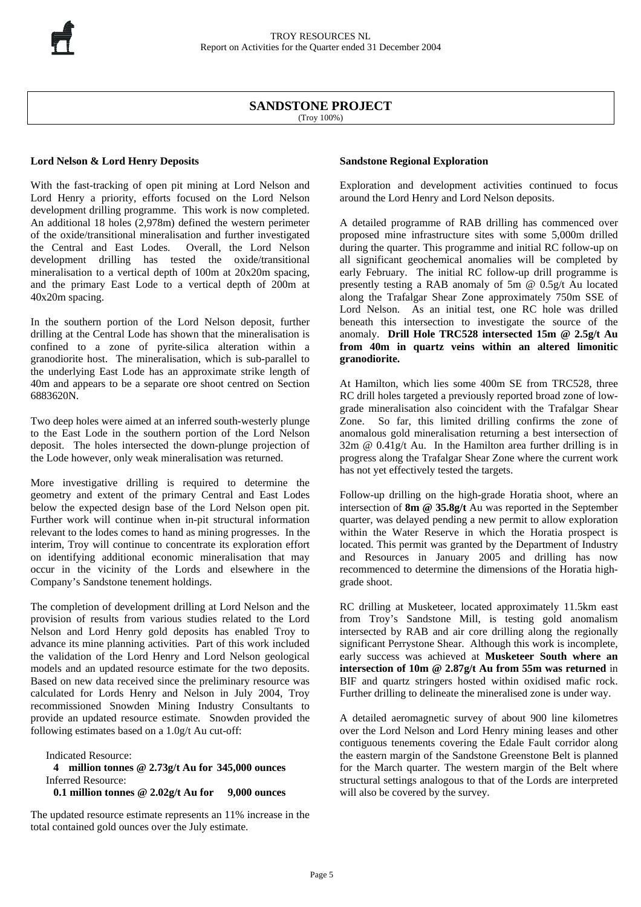## **SANDSTONE PROJECT**

(Troy 100%)

## **Lord Nelson & Lord Henry Deposits**

With the fast-tracking of open pit mining at Lord Nelson and Lord Henry a priority, efforts focused on the Lord Nelson development drilling programme. This work is now completed. An additional 18 holes (2,978m) defined the western perimeter of the oxide/transitional mineralisation and further investigated the Central and East Lodes. Overall, the Lord Nelson development drilling has tested the oxide/transitional mineralisation to a vertical depth of 100m at 20x20m spacing, and the primary East Lode to a vertical depth of 200m at 40x20m spacing.

In the southern portion of the Lord Nelson deposit, further drilling at the Central Lode has shown that the mineralisation is confined to a zone of pyrite-silica alteration within a granodiorite host. The mineralisation, which is sub-parallel to the underlying East Lode has an approximate strike length of 40m and appears to be a separate ore shoot centred on Section 6883620N.

Two deep holes were aimed at an inferred south-westerly plunge to the East Lode in the southern portion of the Lord Nelson deposit. The holes intersected the down-plunge projection of the Lode however, only weak mineralisation was returned.

More investigative drilling is required to determine the geometry and extent of the primary Central and East Lodes below the expected design base of the Lord Nelson open pit. Further work will continue when in-pit structural information relevant to the lodes comes to hand as mining progresses. In the interim, Troy will continue to concentrate its exploration effort on identifying additional economic mineralisation that may occur in the vicinity of the Lords and elsewhere in the Company's Sandstone tenement holdings.

The completion of development drilling at Lord Nelson and the provision of results from various studies related to the Lord Nelson and Lord Henry gold deposits has enabled Troy to advance its mine planning activities. Part of this work included the validation of the Lord Henry and Lord Nelson geological models and an updated resource estimate for the two deposits. Based on new data received since the preliminary resource was calculated for Lords Henry and Nelson in July 2004, Troy recommissioned Snowden Mining Industry Consultants to provide an updated resource estimate. Snowden provided the following estimates based on a 1.0g/t Au cut-off:

Indicated Resource:  **4 million tonnes @ 2.73g/t Au for 345,000 ounces**  Inferred Resource:  **0.1 million tonnes @ 2.02g/t Au for 9,000 ounces**

The updated resource estimate represents an 11% increase in the total contained gold ounces over the July estimate.

## **Sandstone Regional Exploration**

Exploration and development activities continued to focus around the Lord Henry and Lord Nelson deposits.

A detailed programme of RAB drilling has commenced over proposed mine infrastructure sites with some 5,000m drilled during the quarter. This programme and initial RC follow-up on all significant geochemical anomalies will be completed by early February. The initial RC follow-up drill programme is presently testing a RAB anomaly of 5m @ 0.5g/t Au located along the Trafalgar Shear Zone approximately 750m SSE of Lord Nelson. As an initial test, one RC hole was drilled beneath this intersection to investigate the source of the anomaly. **Drill Hole TRC528 intersected 15m @ 2.5g/t Au from 40m in quartz veins within an altered limonitic granodiorite.** 

At Hamilton, which lies some 400m SE from TRC528, three RC drill holes targeted a previously reported broad zone of lowgrade mineralisation also coincident with the Trafalgar Shear Zone. So far, this limited drilling confirms the zone of anomalous gold mineralisation returning a best intersection of  $32m \t{O} 0.41g/t$  Au. In the Hamilton area further drilling is in progress along the Trafalgar Shear Zone where the current work has not yet effectively tested the targets.

Follow-up drilling on the high-grade Horatia shoot, where an intersection of **8m @ 35.8g/t** Au was reported in the September quarter, was delayed pending a new permit to allow exploration within the Water Reserve in which the Horatia prospect is located. This permit was granted by the Department of Industry and Resources in January 2005 and drilling has now recommenced to determine the dimensions of the Horatia highgrade shoot.

RC drilling at Musketeer, located approximately 11.5km east from Troy's Sandstone Mill, is testing gold anomalism intersected by RAB and air core drilling along the regionally significant Perrystone Shear. Although this work is incomplete, early success was achieved at **Musketeer South where an intersection of 10m @ 2.87g/t Au from 55m was returned** in BIF and quartz stringers hosted within oxidised mafic rock. Further drilling to delineate the mineralised zone is under way.

A detailed aeromagnetic survey of about 900 line kilometres over the Lord Nelson and Lord Henry mining leases and other contiguous tenements covering the Edale Fault corridor along the eastern margin of the Sandstone Greenstone Belt is planned for the March quarter. The western margin of the Belt where structural settings analogous to that of the Lords are interpreted will also be covered by the survey.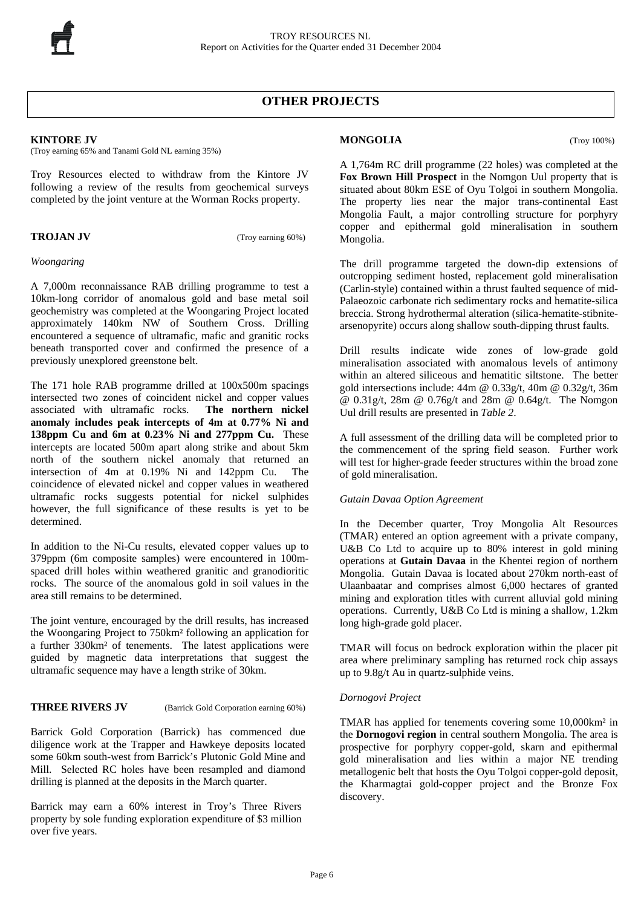# **OTHER PROJECTS**

## **KINTORE JV**

(Troy earning 65% and Tanami Gold NL earning 35%)

Troy Resources elected to withdraw from the Kintore JV following a review of the results from geochemical surveys completed by the joint venture at the Worman Rocks property.

**TROJAN JV** (Troy earning 60%)

## *Woongaring*

A 7,000m reconnaissance RAB drilling programme to test a 10km-long corridor of anomalous gold and base metal soil geochemistry was completed at the Woongaring Project located approximately 140km NW of Southern Cross. Drilling encountered a sequence of ultramafic, mafic and granitic rocks beneath transported cover and confirmed the presence of a previously unexplored greenstone belt.

The 171 hole RAB programme drilled at 100x500m spacings intersected two zones of coincident nickel and copper values associated with ultramafic rocks. **The northern nickel anomaly includes peak intercepts of 4m at 0.77% Ni and 138ppm Cu and 6m at 0.23% Ni and 277ppm Cu.** These intercepts are located 500m apart along strike and about 5km north of the southern nickel anomaly that returned an intersection of 4m at 0.19% Ni and 142ppm Cu.The coincidence of elevated nickel and copper values in weathered ultramafic rocks suggests potential for nickel sulphides however, the full significance of these results is yet to be determined.

In addition to the Ni-Cu results, elevated copper values up to 379ppm (6m composite samples) were encountered in 100mspaced drill holes within weathered granitic and granodioritic rocks. The source of the anomalous gold in soil values in the area still remains to be determined.

The joint venture, encouraged by the drill results, has increased the Woongaring Project to 750km² following an application for a further 330km² of tenements. The latest applications were guided by magnetic data interpretations that suggest the ultramafic sequence may have a length strike of 30km.

**THREE RIVERS JV** (Barrick Gold Corporation earning 60%)

Barrick Gold Corporation (Barrick) has commenced due diligence work at the Trapper and Hawkeye deposits located some 60km south-west from Barrick's Plutonic Gold Mine and Mill. Selected RC holes have been resampled and diamond drilling is planned at the deposits in the March quarter.

Barrick may earn a 60% interest in Troy's Three Rivers property by sole funding exploration expenditure of \$3 million over five years.

## **MONGOLIA** (Troy 100%)

A 1,764m RC drill programme (22 holes) was completed at the **Fox Brown Hill Prospect** in the Nomgon Uul property that is situated about 80km ESE of Oyu Tolgoi in southern Mongolia. The property lies near the major trans-continental East Mongolia Fault, a major controlling structure for porphyry copper and epithermal gold mineralisation in southern Mongolia.

The drill programme targeted the down-dip extensions of outcropping sediment hosted, replacement gold mineralisation (Carlin-style) contained within a thrust faulted sequence of mid-Palaeozoic carbonate rich sedimentary rocks and hematite-silica breccia. Strong hydrothermal alteration (silica-hematite-stibnitearsenopyrite) occurs along shallow south-dipping thrust faults.

Drill results indicate wide zones of low-grade gold mineralisation associated with anomalous levels of antimony within an altered siliceous and hematitic siltstone. The better gold intersections include: 44m @ 0.33g/t, 40m @ 0.32g/t, 36m @ 0.31g/t, 28m @ 0.76g/t and 28m @ 0.64g/t. The Nomgon Uul drill results are presented in *Table 2*.

A full assessment of the drilling data will be completed prior to the commencement of the spring field season. Further work will test for higher-grade feeder structures within the broad zone of gold mineralisation.

## *Gutain Davaa Option Agreement*

In the December quarter, Troy Mongolia Alt Resources (TMAR) entered an option agreement with a private company, U&B Co Ltd to acquire up to 80% interest in gold mining operations at **Gutain Davaa** in the Khentei region of northern Mongolia. Gutain Davaa is located about 270km north-east of Ulaanbaatar and comprises almost 6,000 hectares of granted mining and exploration titles with current alluvial gold mining operations. Currently, U&B Co Ltd is mining a shallow, 1.2km long high-grade gold placer.

TMAR will focus on bedrock exploration within the placer pit area where preliminary sampling has returned rock chip assays up to 9.8g/t Au in quartz-sulphide veins.

## *Dornogovi Project*

TMAR has applied for tenements covering some 10,000km² in the **Dornogovi region** in central southern Mongolia. The area is prospective for porphyry copper-gold, skarn and epithermal gold mineralisation and lies within a major NE trending metallogenic belt that hosts the Oyu Tolgoi copper-gold deposit, the Kharmagtai gold-copper project and the Bronze Fox discovery.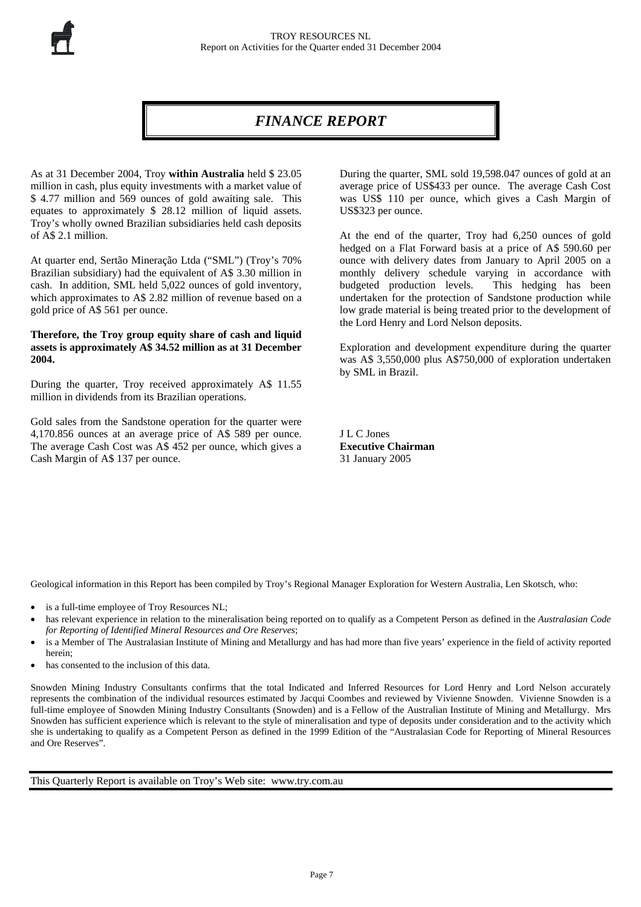# *FINANCE REPORT*

As at 31 December 2004, Troy **within Australia** held \$ 23.05 million in cash, plus equity investments with a market value of \$ 4.77 million and 569 ounces of gold awaiting sale. This equates to approximately \$ 28.12 million of liquid assets. Troy's wholly owned Brazilian subsidiaries held cash deposits of A\$ 2.1 million.

At quarter end, Sertão Mineração Ltda ("SML") (Troy's 70% Brazilian subsidiary) had the equivalent of A\$ 3.30 million in cash. In addition, SML held 5,022 ounces of gold inventory, which approximates to A\$ 2.82 million of revenue based on a gold price of A\$ 561 per ounce.

## **Therefore, the Troy group equity share of cash and liquid assets is approximately A\$ 34.52 million as at 31 December 2004.**

During the quarter, Troy received approximately A\$ 11.55 million in dividends from its Brazilian operations.

Gold sales from the Sandstone operation for the quarter were 4,170.856 ounces at an average price of A\$ 589 per ounce. The average Cash Cost was A\$ 452 per ounce, which gives a Cash Margin of A\$ 137 per ounce.

During the quarter, SML sold 19,598.047 ounces of gold at an average price of US\$433 per ounce. The average Cash Cost was US\$ 110 per ounce, which gives a Cash Margin of US\$323 per ounce.

At the end of the quarter, Troy had 6,250 ounces of gold hedged on a Flat Forward basis at a price of A\$ 590.60 per ounce with delivery dates from January to April 2005 on a monthly delivery schedule varying in accordance with budgeted production levels. This hedging has been undertaken for the protection of Sandstone production while low grade material is being treated prior to the development of the Lord Henry and Lord Nelson deposits.

Exploration and development expenditure during the quarter was A\$ 3,550,000 plus A\$750,000 of exploration undertaken by SML in Brazil.

J L C Jones **Executive Chairman**  31 January 2005

Geological information in this Report has been compiled by Troy's Regional Manager Exploration for Western Australia, Len Skotsch, who:

- is a full-time employee of Troy Resources NL;
- has relevant experience in relation to the mineralisation being reported on to qualify as a Competent Person as defined in the *Australasian Code for Reporting of Identified Mineral Resources and Ore Reserves*;
- is a Member of The Australasian Institute of Mining and Metallurgy and has had more than five years' experience in the field of activity reported herein;
- has consented to the inclusion of this data.

Snowden Mining Industry Consultants confirms that the total Indicated and Inferred Resources for Lord Henry and Lord Nelson accurately represents the combination of the individual resources estimated by Jacqui Coombes and reviewed by Vivienne Snowden. Vivienne Snowden is a full-time employee of Snowden Mining Industry Consultants (Snowden) and is a Fellow of the Australian Institute of Mining and Metallurgy. Mrs Snowden has sufficient experience which is relevant to the style of mineralisation and type of deposits under consideration and to the activity which she is undertaking to qualify as a Competent Person as defined in the 1999 Edition of the "Australasian Code for Reporting of Mineral Resources and Ore Reserves".

This Quarterly Report is available on Troy's Web site: www.try.com.au